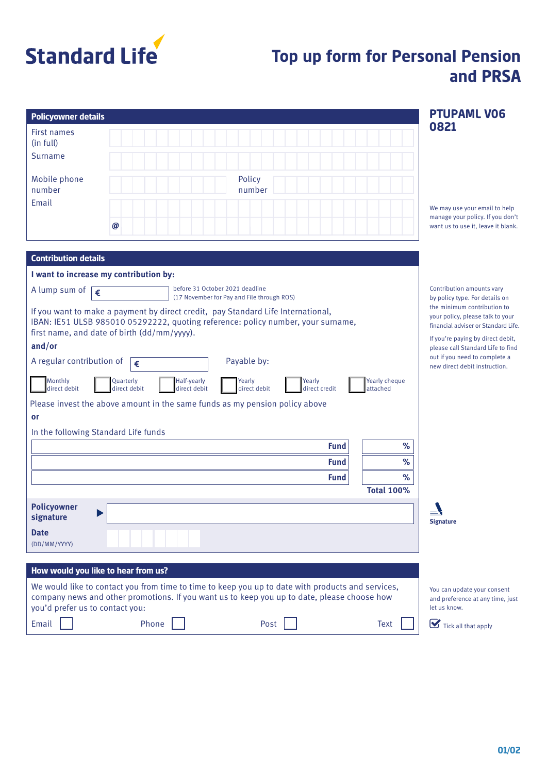

# **Top up form for Personal Pension and PRSA**

| <b>Policyowner details</b>                                                                                                                                                                                                          | <b>PTUPAML VO6</b>                                                                                     |  |  |
|-------------------------------------------------------------------------------------------------------------------------------------------------------------------------------------------------------------------------------------|--------------------------------------------------------------------------------------------------------|--|--|
| <b>First names</b><br>(in full)                                                                                                                                                                                                     | 0821                                                                                                   |  |  |
| Surname                                                                                                                                                                                                                             |                                                                                                        |  |  |
| Policy<br>Mobile phone<br>number<br>number                                                                                                                                                                                          |                                                                                                        |  |  |
| Email                                                                                                                                                                                                                               | We may use your email to help<br>manage your policy. If you don't                                      |  |  |
| $\boldsymbol{\varpi}$                                                                                                                                                                                                               | want us to use it, leave it blank.                                                                     |  |  |
| <b>Contribution details</b>                                                                                                                                                                                                         |                                                                                                        |  |  |
| I want to increase my contribution by:                                                                                                                                                                                              |                                                                                                        |  |  |
| before 31 October 2021 deadline<br>A lump sum of<br>€<br>(17 November for Pay and File through ROS)                                                                                                                                 | Contribution amounts vary<br>by policy type. For details on                                            |  |  |
| If you want to make a payment by direct credit, pay Standard Life International,<br>IBAN: IE51 ULSB 985010 05292222, quoting reference: policy number, your surname,<br>first name, and date of birth (dd/mm/yyyy).                 | the minimum contribution to<br>your policy, please talk to your<br>financial adviser or Standard Life. |  |  |
| and/or                                                                                                                                                                                                                              | If you're paying by direct debit,<br>please call Standard Life to find                                 |  |  |
| Payable by:<br>A regular contribution of<br>€                                                                                                                                                                                       | out if you need to complete a<br>new direct debit instruction.                                         |  |  |
| Monthly<br>Quarterly<br>Half-yearly<br>Yearly cheque<br>Yearly<br>Yearly<br>direct debit<br>direct debit<br>direct debit<br>direct debit<br>direct credit<br>attached                                                               |                                                                                                        |  |  |
| Please invest the above amount in the same funds as my pension policy above                                                                                                                                                         |                                                                                                        |  |  |
| or                                                                                                                                                                                                                                  |                                                                                                        |  |  |
| In the following Standard Life funds                                                                                                                                                                                                |                                                                                                        |  |  |
| <b>Fund</b><br>%<br>%<br><b>Fund</b>                                                                                                                                                                                                |                                                                                                        |  |  |
| $\%$<br><b>Fund</b>                                                                                                                                                                                                                 |                                                                                                        |  |  |
| <b>Total 100%</b>                                                                                                                                                                                                                   |                                                                                                        |  |  |
| <b>Policyowner</b><br>▶<br>signature                                                                                                                                                                                                | $\equiv$<br><b>Signature</b>                                                                           |  |  |
| <b>Date</b><br>(DD/MM/YYYY)                                                                                                                                                                                                         |                                                                                                        |  |  |
|                                                                                                                                                                                                                                     |                                                                                                        |  |  |
| How would you like to hear from us?                                                                                                                                                                                                 |                                                                                                        |  |  |
| We would like to contact you from time to time to keep you up to date with products and services,<br>company news and other promotions. If you want us to keep you up to date, please choose how<br>you'd prefer us to contact you: | You can update your consent<br>and preference at any time, just<br>let us know.                        |  |  |
| Email<br>Phone<br>Text<br>Post                                                                                                                                                                                                      | Tick all that apply                                                                                    |  |  |